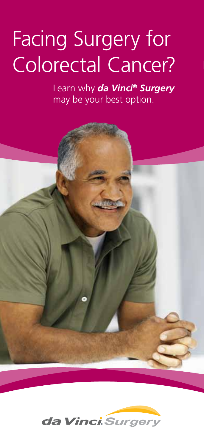# Facing Surgery for Colorectal Cancer?

Learn why *da Vinci® Surgery* may be your best option.

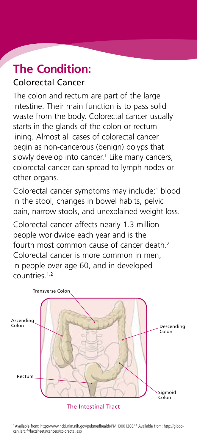#### **The Condition:** Colorectal Cancer

The colon and rectum are part of the large intestine. Their main function is to pass solid waste from the body. Colorectal cancer usually starts in the glands of the colon or rectum lining. Almost all cases of colorectal cancer begin as non-cancerous (benign) polyps that slowly develop into cancer.<sup>1</sup> Like many cancers, colorectal cancer can spread to lymph nodes or other organs.

Colorectal cancer symptoms may include:<sup>1</sup> blood in the stool, changes in bowel habits, pelvic pain, narrow stools, and unexplained weight loss.

Colorectal cancer affects nearly 1.3 million people worldwide each year and is the fourth most common cause of cancer death<sup>2</sup> Colorectal cancer is more common in men, in people over age 60, and in developed  $\frac{c_0}{c_1}$ countries.<sup>1,2</sup>



The Intestinal Tract

1 Available from: http://www.ncbi.nlm.nih.gov/pubmedhealth/PMH0001308/ 2 Available from: http://globocan.iarc.fr/factsheets/cancers/colorectal.asp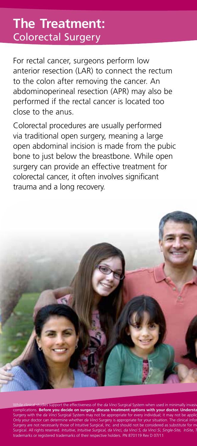### **The Treatment:**  Colorectal Surgery

For rectal cancer, surgeons perform low anterior resection (LAR) to connect the rectum to the colon after removing the cancer. An abdominoperineal resection (APR) may also be performed if the rectal cancer is located too close to the anus.

Colorectal procedures are usually performed via traditional open surgery, meaning a large open abdominal incision is made from the pubic bone to just below the breastbone. While open surgery can provide an effective treatment for colorectal cancer, it often involves significant trauma and a long recovery.



t the effectiveness of the da Vinci Surgical System when used in minim mplications. **Before you decide on surgery, discuss treatment options with your doctor. Underst** Surgery with the da Vinci Surgical System may not be appropriate for every individual; it may not be applicable Only your doctor can determine whether *da Vinci* Surgery is appropriate for your situation. The clinical infor<br>Surgery are not necessarily those of Intuitive Surgical, Inc. and should not be considered as substitute for m Surgical. All rights reserved. Intuitive, Intuitive Surgical, da Vinci, da Vinci S, da Vinci Si, Single-Site, InSite, 1 trademarks or registered trademarks of their respective holders. PN 870119 Rev D 07/11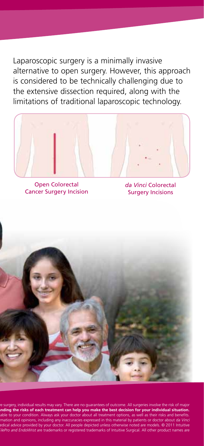Laparoscopic surgery is a minimally invasive alternative to open surgery. However, this approach is considered to be technically challenging due to the extensive dissection required, along with the limitations of traditional laparoscopic technology.



Open Colorectal Cancer Surgery Incision

*da Vinci* Colorectal Surgery Incisions



e surgery, individual results may vary. There are no guarantees of outcome. All surgeries involve the risk of major<br>**nding the risks of each treatment can help you make the best decision for your individual situation.** able to your condition. Always ask your doctor about all treatment options, as well as their risks and benefits. mation and opinions, including any inaccuracies expressed in this material by patients or doctor about da Vinci edical advice provided by your doctor. All people depicted unless otherwise noted are models. © 2011 Intuitive ilePro and EndoWrist are trademarks or registered trademarks of Intuitive Surgical. All other product names are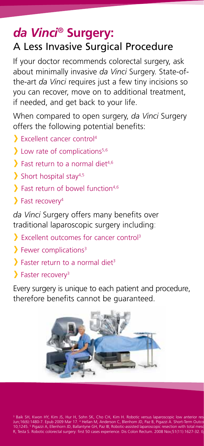#### *da Vinci®* **Surgery:**  A Less Invasive Surgical Procedure

If your doctor recommends colorectal surgery, ask about minimally invasive *da Vinci* Surgery. State-ofthe-art *da Vinci* requires just a few tiny incisions so you can recover, move on to additional treatment, if needed, and get back to your life.

When compared to open surgery, *da Vinci* Surgery offers the following potential benefits:

- Excellent cancer control4
- $\sum$  Low rate of complications<sup>5,6</sup>
- $\sum$  Fast return to a normal diet<sup>4,6</sup>
- $\sum$  Short hospital stay<sup>4,5</sup>
- $\sum$  Fast return of bowel function<sup>4,6</sup>
- $\sum$  Fast recovery<sup>4</sup>

*da Vinci* Surgery offers many benefits over traditional laparoscopic surgery including:

- Excellent outcomes for cancer control3
- $\sum$  Fewer complications<sup>3</sup>
- $\sum$  Faster return to a normal diet<sup>3</sup>
- Faster recovery3

Every surgery is unique to each patient and procedure, therefore benefits cannot be guaranteed.



3 Baik SH, Kwon HY, Kim JS, Hur H, Sohn SK, Cho CH, Kim H. Robotic versus laparoscopic low anterior res<br>Jun;16(6):1480-7. Epub 2009 Mar 17. <sup>4</sup> Hellan M, Anderson C, Blenhom JD, Paz B, Pigazzi A. Short-Term Outco<br>10;1245. R. Testa S. Robotic colorectal surgery: first 50 cases experience. Dis Colon Rectum. 2008 Nov;51(11):1627-32. E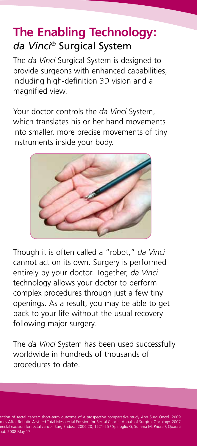## **The Enabling Technology:** *da Vinci®* Surgical System

The *da Vinci* Surgical System is designed to provide surgeons with enhanced capabilities, including high-definition 3D vision and a magnified view.

Your doctor controls the *da Vinci* System, which translates his or her hand movements into smaller, more precise movements of tiny instruments inside your body.



Though it is often called a "robot," *da Vinci* cannot act on its own. Surgery is performed entirely by your doctor. Together, *da Vinci* technology allows your doctor to perform complex procedures through just a few tiny openings. As a result, you may be able to get back to your life without the usual recovery following major surgery.

The *da Vinci* System has been used successfully worldwide in hundreds of thousands of procedures to date.

ection of rectal cancer: short-term outcome of a prospective comparative study Ann Surg Oncol. 2009<br>mes After Robotic-Assisted Total Mesorectal Excision for Rectal Cancer. Annals of Surgical Oncology. 2007<br>vectal excision **pub 2008 May 17.**